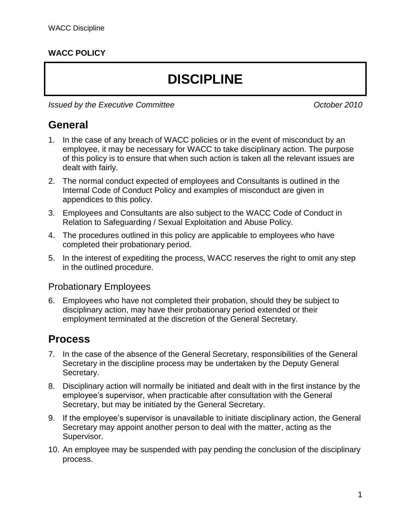### **WACC POLICY**

# **DISCIPLINE**

*Issued by the Executive Committee <i>Issued by the Executive Committee* 

### **General**

- 1. In the case of any breach of WACC policies or in the event of misconduct by an employee, it may be necessary for WACC to take disciplinary action. The purpose of this policy is to ensure that when such action is taken all the relevant issues are dealt with fairly.
- 2. The normal conduct expected of employees and Consultants is outlined in the Internal Code of Conduct Policy and examples of misconduct are given in appendices to this policy.
- 3. Employees and Consultants are also subject to the WACC Code of Conduct in Relation to Safeguarding / Sexual Exploitation and Abuse Policy.
- 4. The procedures outlined in this policy are applicable to employees who have completed their probationary period.
- 5. In the interest of expediting the process, WACC reserves the right to omit any step in the outlined procedure.

#### Probationary Employees

6. Employees who have not completed their probation, should they be subject to disciplinary action, may have their probationary period extended or their employment terminated at the discretion of the General Secretary.

### **Process**

- 7. In the case of the absence of the General Secretary, responsibilities of the General Secretary in the discipline process may be undertaken by the Deputy General Secretary.
- 8. Disciplinary action will normally be initiated and dealt with in the first instance by the employee's supervisor, when practicable after consultation with the General Secretary, but may be initiated by the General Secretary.
- 9. If the employee's supervisor is unavailable to initiate disciplinary action, the General Secretary may appoint another person to deal with the matter, acting as the Supervisor.
- 10. An employee may be suspended with pay pending the conclusion of the disciplinary process.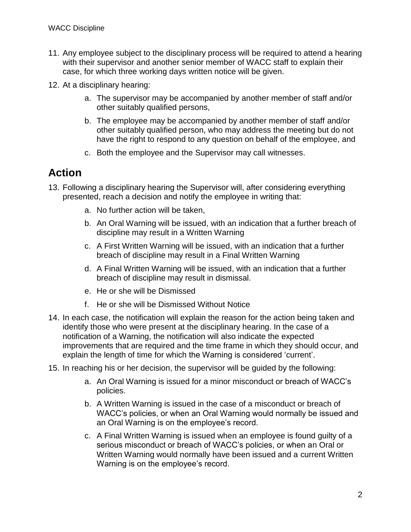- 11. Any employee subject to the disciplinary process will be required to attend a hearing with their supervisor and another senior member of WACC staff to explain their case, for which three working days written notice will be given.
- 12. At a disciplinary hearing:
	- a. The supervisor may be accompanied by another member of staff and/or other suitably qualified persons,
	- b. The employee may be accompanied by another member of staff and/or other suitably qualified person, who may address the meeting but do not have the right to respond to any question on behalf of the employee, and
	- c. Both the employee and the Supervisor may call witnesses.

### **Action**

- 13. Following a disciplinary hearing the Supervisor will, after considering everything presented, reach a decision and notify the employee in writing that:
	- a. No further action will be taken,
	- b. An Oral Warning will be issued, with an indication that a further breach of discipline may result in a Written Warning
	- c. A First Written Warning will be issued, with an indication that a further breach of discipline may result in a Final Written Warning
	- d. A Final Written Warning will be issued, with an indication that a further breach of discipline may result in dismissal.
	- e. He or she will be Dismissed
	- f. He or she will be Dismissed Without Notice
- 14. In each case, the notification will explain the reason for the action being taken and identify those who were present at the disciplinary hearing. In the case of a notification of a Warning, the notification will also indicate the expected improvements that are required and the time frame in which they should occur, and explain the length of time for which the Warning is considered 'current'.
- 15. In reaching his or her decision, the supervisor will be guided by the following:
	- a. An Oral Warning is issued for a minor misconduct or breach of WACC's policies.
	- b. A Written Warning is issued in the case of a misconduct or breach of WACC's policies, or when an Oral Warning would normally be issued and an Oral Warning is on the employee's record.
	- c. A Final Written Warning is issued when an employee is found guilty of a serious misconduct or breach of WACC's policies, or when an Oral or Written Warning would normally have been issued and a current Written Warning is on the employee's record.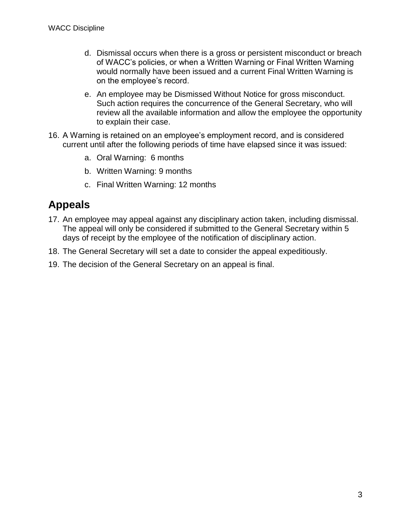- d. Dismissal occurs when there is a gross or persistent misconduct or breach of WACC's policies, or when a Written Warning or Final Written Warning would normally have been issued and a current Final Written Warning is on the employee's record.
- e. An employee may be Dismissed Without Notice for gross misconduct. Such action requires the concurrence of the General Secretary, who will review all the available information and allow the employee the opportunity to explain their case.
- 16. A Warning is retained on an employee's employment record, and is considered current until after the following periods of time have elapsed since it was issued:
	- a. Oral Warning: 6 months
	- b. Written Warning: 9 months
	- c. Final Written Warning: 12 months

# **Appeals**

- 17. An employee may appeal against any disciplinary action taken, including dismissal. The appeal will only be considered if submitted to the General Secretary within 5 days of receipt by the employee of the notification of disciplinary action.
- 18. The General Secretary will set a date to consider the appeal expeditiously.
- 19. The decision of the General Secretary on an appeal is final.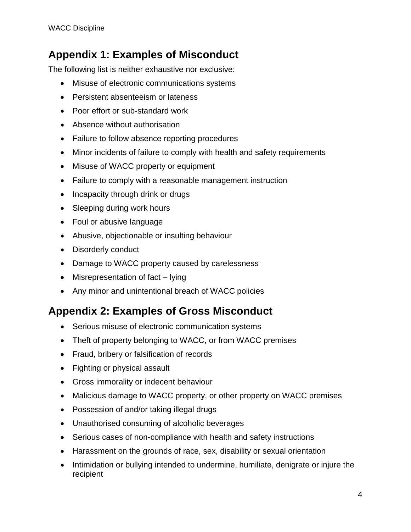## **Appendix 1: Examples of Misconduct**

The following list is neither exhaustive nor exclusive:

- Misuse of electronic communications systems
- Persistent absenteeism or lateness
- Poor effort or sub-standard work
- Absence without authorisation
- Failure to follow absence reporting procedures
- Minor incidents of failure to comply with health and safety requirements
- Misuse of WACC property or equipment
- Failure to comply with a reasonable management instruction
- Incapacity through drink or drugs
- Sleeping during work hours
- Foul or abusive language
- Abusive, objectionable or insulting behaviour
- Disorderly conduct
- Damage to WACC property caused by carelessness
- Misrepresentation of fact lying
- Any minor and unintentional breach of WACC policies

### **Appendix 2: Examples of Gross Misconduct**

- Serious misuse of electronic communication systems
- Theft of property belonging to WACC, or from WACC premises
- Fraud, bribery or falsification of records
- Fighting or physical assault
- Gross immorality or indecent behaviour
- Malicious damage to WACC property, or other property on WACC premises
- Possession of and/or taking illegal drugs
- Unauthorised consuming of alcoholic beverages
- Serious cases of non-compliance with health and safety instructions
- Harassment on the grounds of race, sex, disability or sexual orientation
- Intimidation or bullying intended to undermine, humiliate, denigrate or injure the recipient